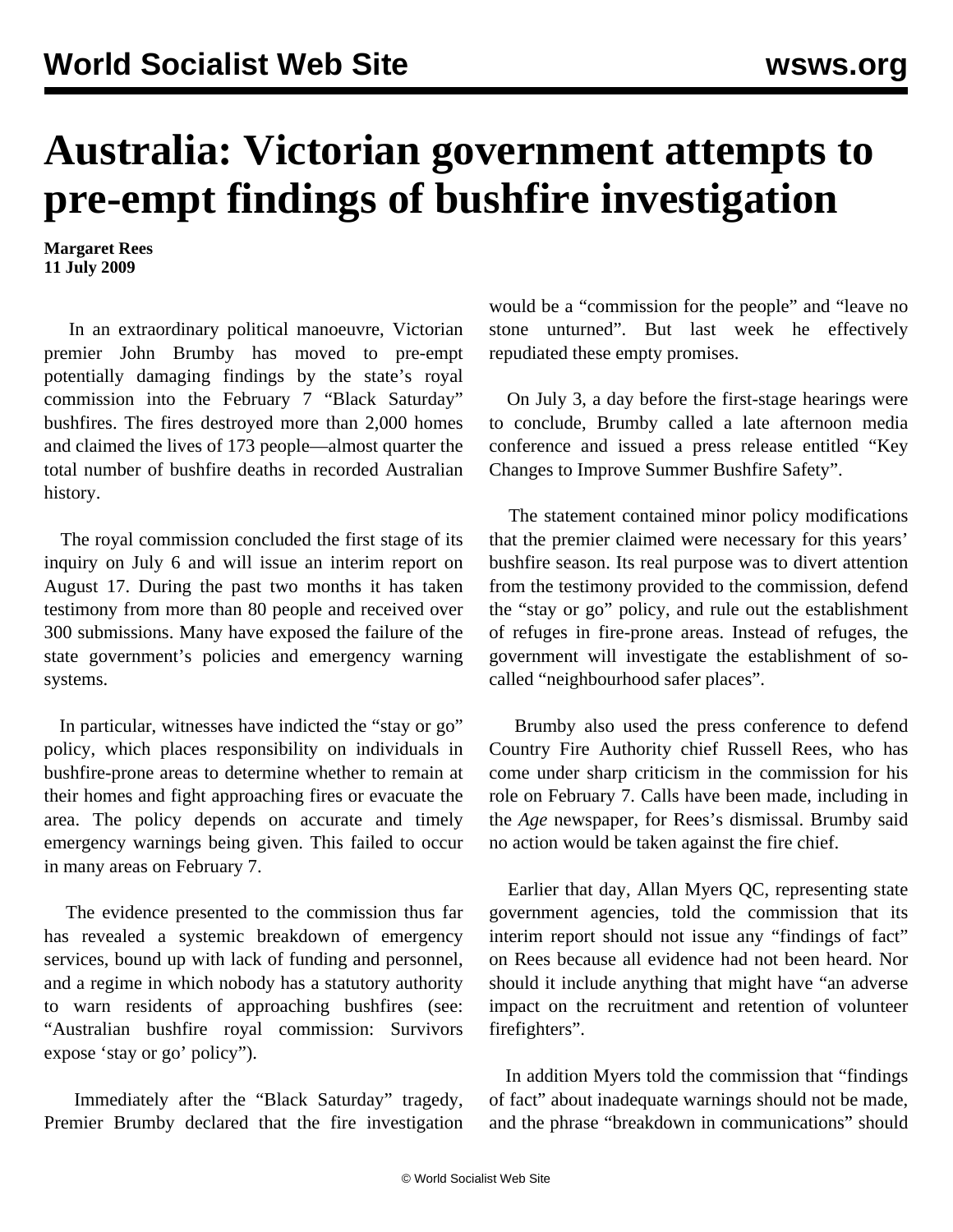## **Australia: Victorian government attempts to pre-empt findings of bushfire investigation**

**Margaret Rees 11 July 2009**

 In an extraordinary political manoeuvre, Victorian premier John Brumby has moved to pre-empt potentially damaging findings by the state's royal commission into the February 7 "Black Saturday" bushfires. The fires destroyed more than 2,000 homes and claimed the lives of 173 people—almost quarter the total number of bushfire deaths in recorded Australian history.

 The royal commission concluded the first stage of its inquiry on July 6 and will issue an interim report on August 17. During the past two months it has taken testimony from more than 80 people and received over 300 submissions. Many have exposed the failure of the state government's policies and emergency warning systems.

 In particular, witnesses have indicted the "stay or go" policy, which places responsibility on individuals in bushfire-prone areas to determine whether to remain at their homes and fight approaching fires or evacuate the area. The policy depends on accurate and timely emergency warnings being given. This failed to occur in many areas on February 7.

 The evidence presented to the commission thus far has revealed a systemic breakdown of emergency services, bound up with lack of funding and personnel, and a regime in which nobody has a statutory authority to warn residents of approaching bushfires (see: "[Australian bushfire royal commission: Survivors](/en/articles/2009/may2009/royc-m28.shtml) [expose 'stay or go' policy"](/en/articles/2009/may2009/royc-m28.shtml)).

 Immediately after the "Black Saturday" tragedy, Premier Brumby declared that the fire investigation would be a "commission for the people" and "leave no stone unturned". But last week he effectively repudiated these empty promises.

 On July 3, a day before the first-stage hearings were to conclude, Brumby called a late afternoon media conference and issued a press release entitled "Key Changes to Improve Summer Bushfire Safety".

 The statement contained minor policy modifications that the premier claimed were necessary for this years' bushfire season. Its real purpose was to divert attention from the testimony provided to the commission, defend the "stay or go" policy, and rule out the establishment of refuges in fire-prone areas. Instead of refuges, the government will investigate the establishment of socalled "neighbourhood safer places".

 Brumby also used the press conference to defend Country Fire Authority chief Russell Rees, who has come under sharp criticism in the commission for his role on February 7. Calls have been made, including in the *Age* newspaper, for Rees's dismissal. Brumby said no action would be taken against the fire chief.

 Earlier that day, Allan Myers QC, representing state government agencies, told the commission that its interim report should not issue any "findings of fact" on Rees because all evidence had not been heard. Nor should it include anything that might have "an adverse impact on the recruitment and retention of volunteer firefighters".

 In addition Myers told the commission that "findings of fact" about inadequate warnings should not be made, and the phrase "breakdown in communications" should